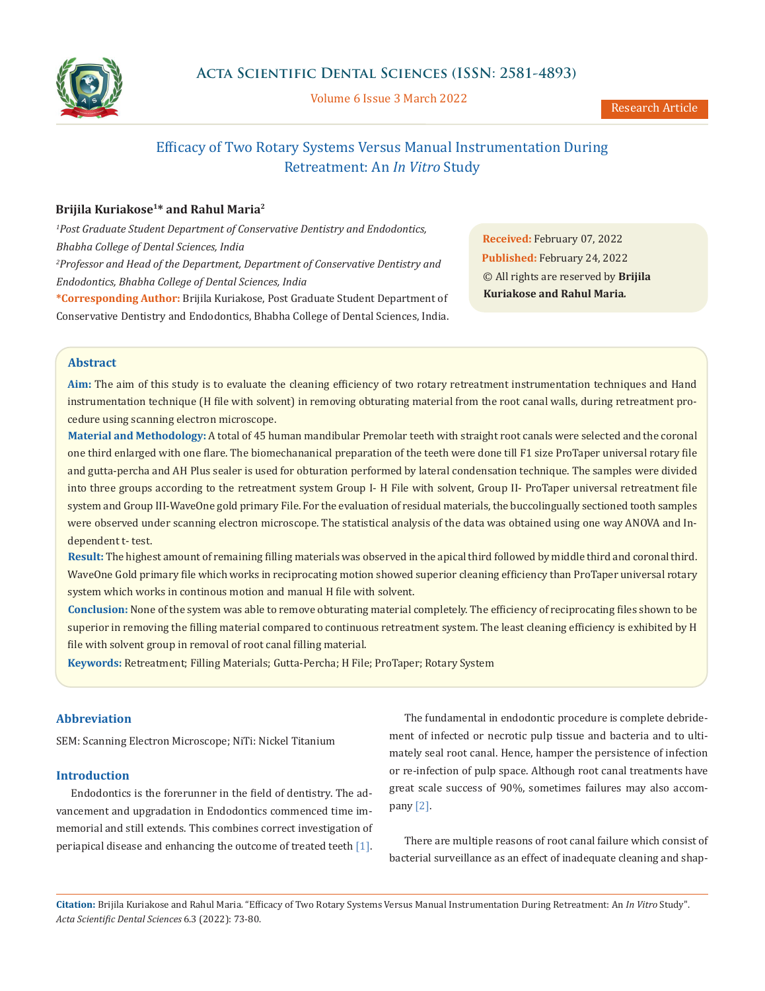

Volume 6 Issue 3 March 2022

# Efficacy of Two Rotary Systems Versus Manual Instrumentation During Retreatment: An *In Vitro* Study

# **Brijila Kuriakose1\* and Rahul Maria2**

<sup>1</sup> Post Graduate Student Department of Conservative Dentistry and Endodontics, *Bhabha College of Dental Sciences, India 2 Professor and Head of the Department, Department of Conservative Dentistry and Endodontics, Bhabha College of Dental Sciences, India*

**Received:** February 07, 2022 **Published:** February 24, 2022 © All rights are reserved by **Brijila Kuriakose and Rahul Maria***.*

**\*Corresponding Author:** Brijila Kuriakose, Post Graduate Student Department of Conservative Dentistry and Endodontics, Bhabha College of Dental Sciences, India.

# **Abstract**

**Aim:** The aim of this study is to evaluate the cleaning efficiency of two rotary retreatment instrumentation techniques and Hand instrumentation technique (H file with solvent) in removing obturating material from the root canal walls, during retreatment procedure using scanning electron microscope.

**Material and Methodology:** A total of 45 human mandibular Premolar teeth with straight root canals were selected and the coronal one third enlarged with one flare. The biomechananical preparation of the teeth were done till F1 size ProTaper universal rotary file and gutta-percha and AH Plus sealer is used for obturation performed by lateral condensation technique. The samples were divided into three groups according to the retreatment system Group I- H File with solvent, Group II- ProTaper universal retreatment file system and Group III-WaveOne gold primary File. For the evaluation of residual materials, the buccolingually sectioned tooth samples were observed under scanning electron microscope. The statistical analysis of the data was obtained using one way ANOVA and Independent t- test.

**Result:** The highest amount of remaining filling materials was observed in the apical third followed by middle third and coronal third. WaveOne Gold primary file which works in reciprocating motion showed superior cleaning efficiency than ProTaper universal rotary system which works in continous motion and manual H file with solvent.

**Conclusion:** None of the system was able to remove obturating material completely. The efficiency of reciprocating files shown to be superior in removing the filling material compared to continuous retreatment system. The least cleaning efficiency is exhibited by H file with solvent group in removal of root canal filling material.

**Keywords:** Retreatment; Filling Materials; Gutta-Percha; H File; ProTaper; Rotary System

## **Abbreviation**

SEM: Scanning Electron Microscope; NiTi: Nickel Titanium

## **Introduction**

Endodontics is the forerunner in the field of dentistry. The advancement and upgradation in Endodontics commenced time immemorial and still extends. This combines correct investigation of periapical disease and enhancing the outcome of treated teeth [1].

The fundamental in endodontic procedure is complete debridement of infected or necrotic pulp tissue and bacteria and to ultimately seal root canal. Hence, hamper the persistence of infection or re-infection of pulp space. Although root canal treatments have great scale success of 90%, sometimes failures may also accompany [2].

There are multiple reasons of root canal failure which consist of bacterial surveillance as an effect of inadequate cleaning and shap-

**Citation:** Brijila Kuriakose and Rahul Maria*.* "Efficacy of Two Rotary Systems Versus Manual Instrumentation During Retreatment: An *In Vitro* Study". *Acta Scientific Dental Sciences* 6.3 (2022): 73-80.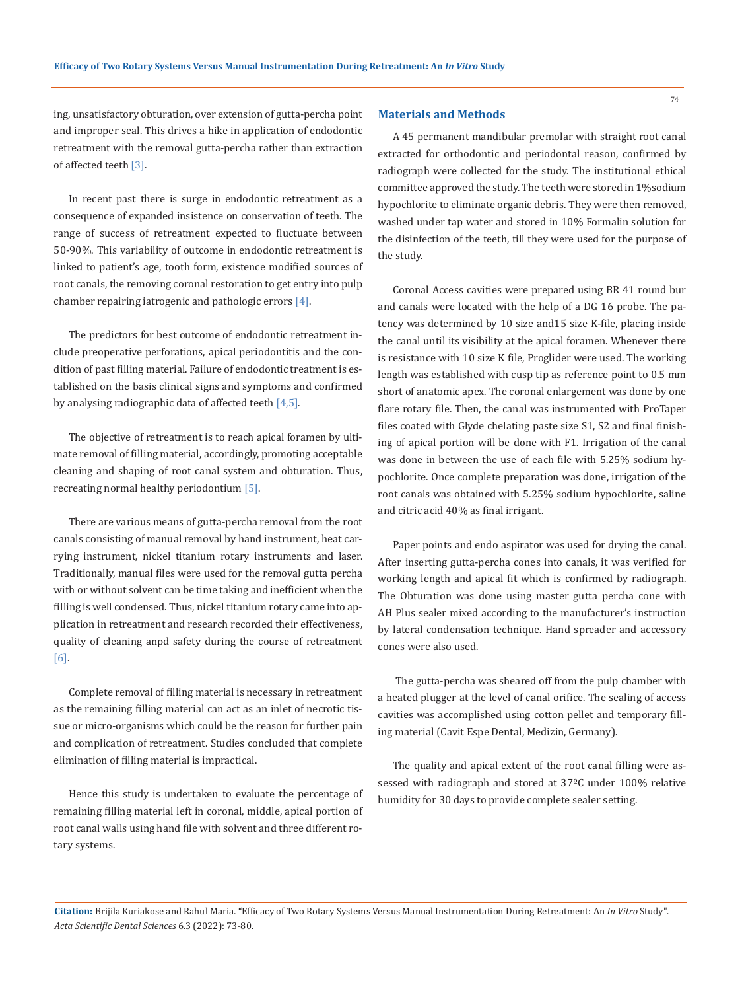ing, unsatisfactory obturation, over extension of gutta-percha point and improper seal. This drives a hike in application of endodontic retreatment with the removal gutta-percha rather than extraction of affected teeth [3].

In recent past there is surge in endodontic retreatment as a consequence of expanded insistence on conservation of teeth. The range of success of retreatment expected to fluctuate between 50-90%. This variability of outcome in endodontic retreatment is linked to patient's age, tooth form, existence modified sources of root canals, the removing coronal restoration to get entry into pulp chamber repairing iatrogenic and pathologic errors [4].

The predictors for best outcome of endodontic retreatment include preoperative perforations, apical periodontitis and the condition of past filling material. Failure of endodontic treatment is established on the basis clinical signs and symptoms and confirmed by analysing radiographic data of affected teeth  $[4,5]$ .

The objective of retreatment is to reach apical foramen by ultimate removal of filling material, accordingly, promoting acceptable cleaning and shaping of root canal system and obturation. Thus, recreating normal healthy periodontium [5].

There are various means of gutta-percha removal from the root canals consisting of manual removal by hand instrument, heat carrying instrument, nickel titanium rotary instruments and laser. Traditionally, manual files were used for the removal gutta percha with or without solvent can be time taking and inefficient when the filling is well condensed. Thus, nickel titanium rotary came into application in retreatment and research recorded their effectiveness, quality of cleaning anpd safety during the course of retreatment [6].

Complete removal of filling material is necessary in retreatment as the remaining filling material can act as an inlet of necrotic tissue or micro-organisms which could be the reason for further pain and complication of retreatment. Studies concluded that complete elimination of filling material is impractical.

Hence this study is undertaken to evaluate the percentage of remaining filling material left in coronal, middle, apical portion of root canal walls using hand file with solvent and three different rotary systems.

## **Materials and Methods**

A 45 permanent mandibular premolar with straight root canal extracted for orthodontic and periodontal reason, confirmed by radiograph were collected for the study. The institutional ethical committee approved the study. The teeth were stored in 1%sodium hypochlorite to eliminate organic debris. They were then removed, washed under tap water and stored in 10% Formalin solution for the disinfection of the teeth, till they were used for the purpose of the study.

Coronal Access cavities were prepared using BR 41 round bur and canals were located with the help of a DG 16 probe. The patency was determined by 10 size and15 size K-file, placing inside the canal until its visibility at the apical foramen. Whenever there is resistance with 10 size K file, Proglider were used. The working length was established with cusp tip as reference point to 0.5 mm short of anatomic apex. The coronal enlargement was done by one flare rotary file. Then, the canal was instrumented with ProTaper files coated with Glyde chelating paste size S1, S2 and final finishing of apical portion will be done with F1. Irrigation of the canal was done in between the use of each file with 5.25% sodium hypochlorite. Once complete preparation was done, irrigation of the root canals was obtained with 5.25% sodium hypochlorite, saline and citric acid 40% as final irrigant.

Paper points and endo aspirator was used for drying the canal. After inserting gutta-percha cones into canals, it was verified for working length and apical fit which is confirmed by radiograph. The Obturation was done using master gutta percha cone with AH Plus sealer mixed according to the manufacturer's instruction by lateral condensation technique. Hand spreader and accessory cones were also used.

 The gutta-percha was sheared off from the pulp chamber with a heated plugger at the level of canal orifice. The sealing of access cavities was accomplished using cotton pellet and temporary filling material (Cavit Espe Dental, Medizin, Germany).

The quality and apical extent of the root canal filling were assessed with radiograph and stored at 37ºC under 100% relative humidity for 30 days to provide complete sealer setting.

**Citation:** Brijila Kuriakose and Rahul Maria*.* "Efficacy of Two Rotary Systems Versus Manual Instrumentation During Retreatment: An *In Vitro* Study". *Acta Scientific Dental Sciences* 6.3 (2022): 73-80.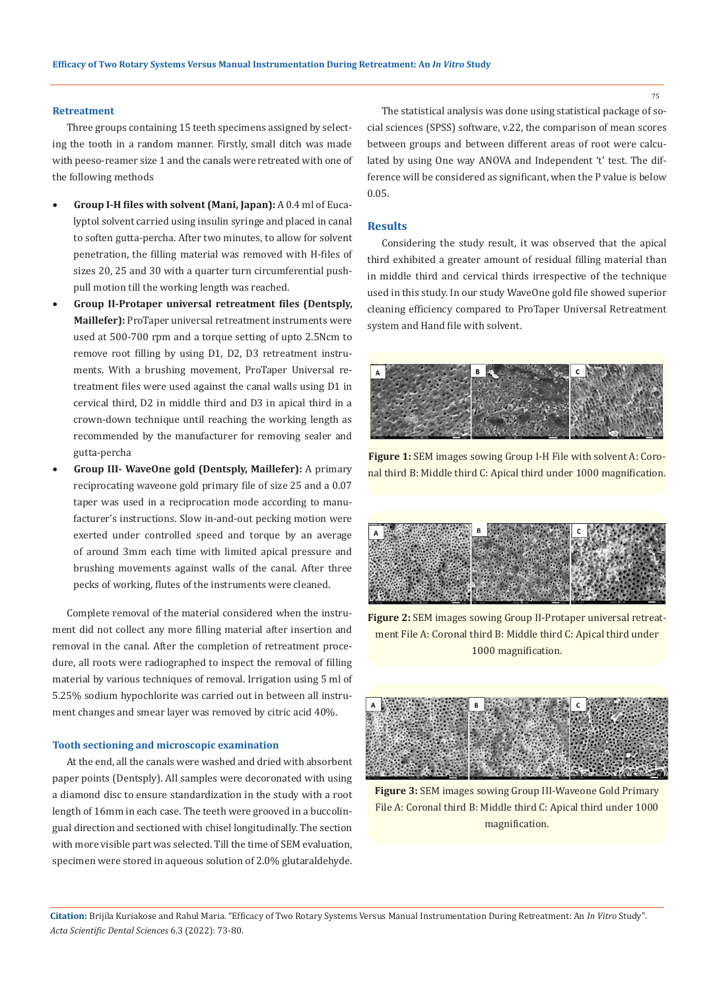#### **Retreatment**

Three groups containing 15 teeth specimens assigned by selecting the tooth in a random manner. Firstly, small ditch was made with peeso-reamer size 1 and the canals were retreated with one of the following methods

- Group I-H files with solvent (Mani, Japan): A 0.4 ml of Eucalyptol solvent carried using insulin syringe and placed in canal to soften gutta-percha. After two minutes, to allow for solvent penetration, the filling material was removed with H-files of sizes 20, 25 and 30 with a quarter turn circumferential pushpull motion till the working length was reached.
- Group II-Protaper universal retreatment files (Dentsply, **Maillefer):** ProTaper universal retreatment instruments were used at 500-700 rpm and a torque setting of upto 2.5Ncm to remove root filling by using D1, D2, D3 retreatment instruments. With a brushing movement, ProTaper Universal retreatment files were used against the canal walls using D1 in cervical third, D2 in middle third and D3 in apical third in a crown-down technique until reaching the working length as recommended by the manufacturer for removing sealer and gutta-percha
- • **Group III- WaveOne gold (Dentsply, Maillefer):** A primary reciprocating waveone gold primary file of size 25 and a 0.07 taper was used in a reciprocation mode according to manufacturer's instructions. Slow in-and-out pecking motion were exerted under controlled speed and torque by an average of around 3mm each time with limited apical pressure and brushing movements against walls of the canal. After three pecks of working, flutes of the instruments were cleaned.

Complete removal of the material considered when the instrument did not collect any more filling material after insertion and removal in the canal. After the completion of retreatment procedure, all roots were radiographed to inspect the removal of filling material by various techniques of removal. Irrigation using 5 ml of 5.25% sodium hypochlorite was carried out in between all instrument changes and smear layer was removed by citric acid 40%.

## **Tooth sectioning and microscopic examination**

At the end, all the canals were washed and dried with absorbent paper points (Dentsply). All samples were decoronated with using a diamond disc to ensure standardization in the study with a root length of 16mm in each case. The teeth were grooved in a buccolingual direction and sectioned with chisel longitudinally. The section with more visible part was selected. Till the time of SEM evaluation, specimen were stored in aqueous solution of 2.0% glutaraldehyde.

The statistical analysis was done using statistical package of social sciences (SPSS) software, v.22, the comparison of mean scores between groups and between different areas of root were calculated by using One way ANOVA and Independent 't' test. The difference will be considered as significant, when the P value is below 0.05.

## **Results**

Considering the study result, it was observed that the apical third exhibited a greater amount of residual filling material than in middle third and cervical thirds irrespective of the technique used in this study. In our study WaveOne gold file showed superior cleaning efficiency compared to ProTaper Universal Retreatment system and Hand file with solvent.



**Figure 1:** SEM images sowing Group I-H File with solvent A: Coronal third B: Middle third C: Apical third under 1000 magnification.



**Figure 2:** SEM images sowing Group II-Protaper universal retreatment File A: Coronal third B: Middle third C: Apical third under 1000 magnification.



**Figure 3:** SEM images sowing Group III-Waveone Gold Primary File A: Coronal third B: Middle third C: Apical third under 1000 magnification.

**Citation:** Brijila Kuriakose and Rahul Maria*.* "Efficacy of Two Rotary Systems Versus Manual Instrumentation During Retreatment: An *In Vitro* Study". *Acta Scientific Dental Sciences* 6.3 (2022): 73-80.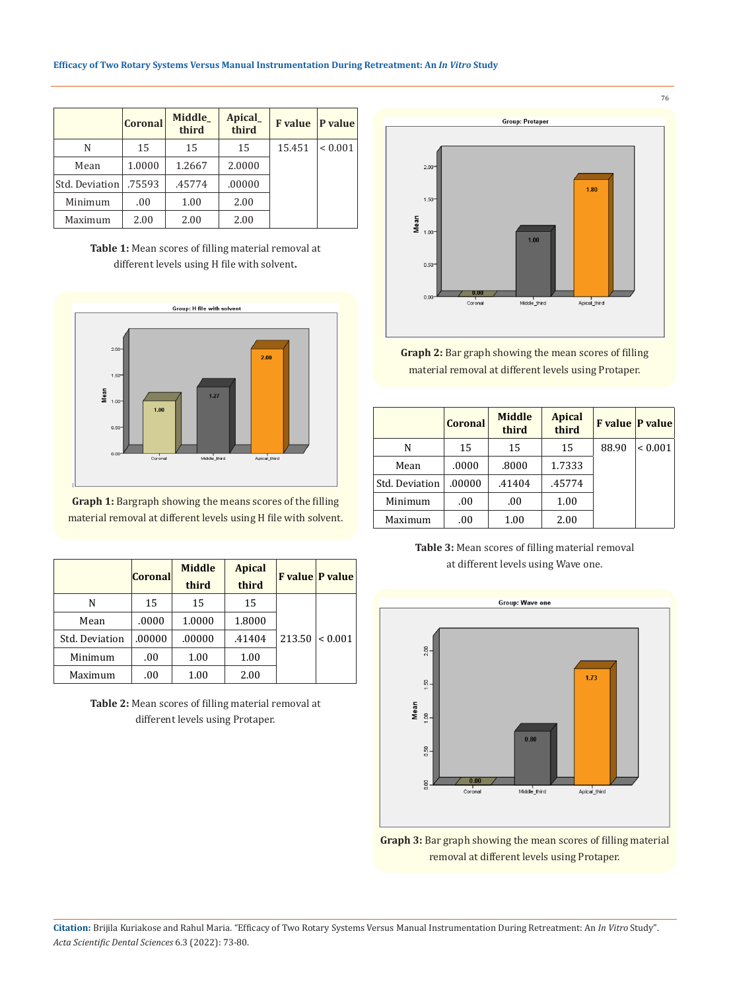## **Efficacy of Two Rotary Systems Versus Manual Instrumentation During Retreatment: An** *In Vitro* **Study**

|                | <b>Coronal</b> | <b>Middle</b><br>third | Apical_<br>third | <b>F</b> value | $P$ value   |
|----------------|----------------|------------------------|------------------|----------------|-------------|
| N              | 15             | 15                     | 15               | 15.451         | ${}< 0.001$ |
| Mean           | 1.0000         | 1.2667                 | 2.0000           |                |             |
| Std. Deviation | .75593         | .45774                 | .00000           |                |             |
| Minimum        | .00.           | 1.00                   | 2.00             |                |             |
| Maximum        | 2.00           | 2.00                   | 2.00             |                |             |

**Table 1:** Mean scores of filling material removal at different levels using H file with solvent**.**



**Graph 1:** Bargraph showing the means scores of the filling material removal at different levels using H file with solvent.

|                | <b>Coronal</b> | <b>Middle</b><br>third | <b>Apical</b><br>third |        | <b>F</b> value P value |
|----------------|----------------|------------------------|------------------------|--------|------------------------|
| N              | 15             | 15                     | 15                     |        | < 0.001                |
| Mean           | .0000          | 1.0000                 | 1.8000                 |        |                        |
| Std. Deviation | .00000         | .00000                 | .41404                 | 213.50 |                        |
| Minimum        | .00            | 1.00                   | 1.00                   |        |                        |
| Maximum        | .00            | 1.00                   | 2.00                   |        |                        |

**Table 2:** Mean scores of filling material removal at different levels using Protaper.



**Graph 2:** Bar graph showing the mean scores of filling material removal at different levels using Protaper.

|                | <b>Coronal</b> | <b>Middle</b><br>third | <b>Apical</b><br>third | <b>F</b> value   P value |              |
|----------------|----------------|------------------------|------------------------|--------------------------|--------------|
| N              | 15             | 15                     | 15                     | 88.90                    | ${}_{0.001}$ |
| Mean           | .0000          | .8000                  | 1.7333                 |                          |              |
| Std. Deviation | .00000         | .41404                 | .45774                 |                          |              |
| Minimum        | .00            | .00.                   | 1.00                   |                          |              |
| Maximum        | .00            | 1.00                   | 2.00                   |                          |              |

**Table 3:** Mean scores of filling material removal at different levels using Wave one.



**Graph 3:** Bar graph showing the mean scores of filling material removal at different levels using Protaper.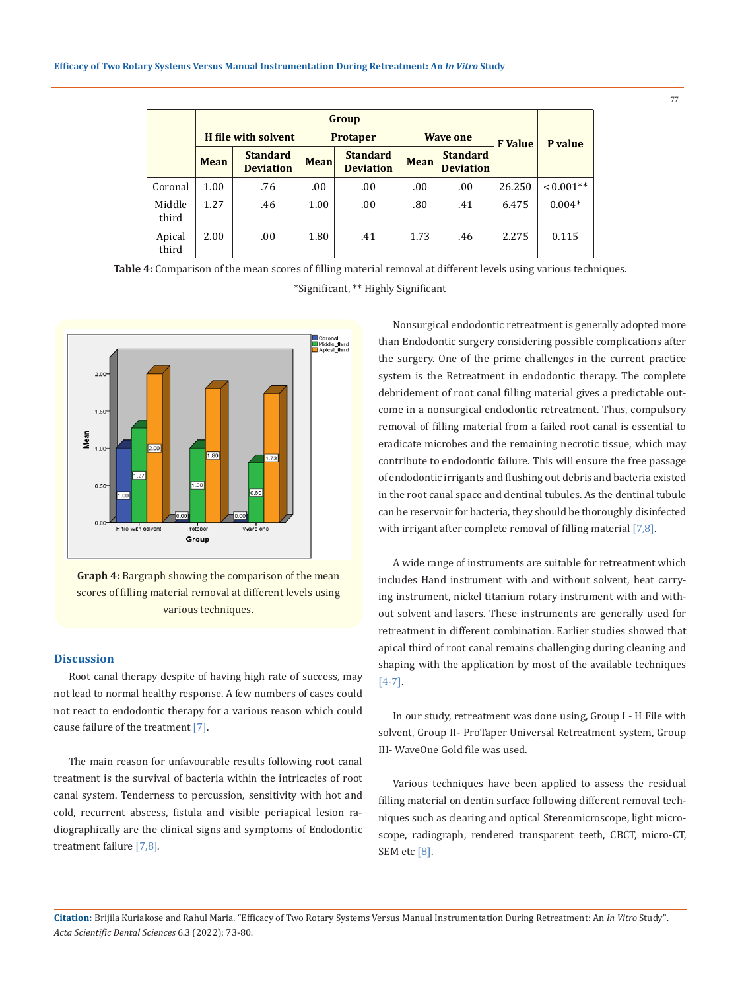|                 | Group                      |                                     |                 |                                     |                 |                                     |                |             |
|-----------------|----------------------------|-------------------------------------|-----------------|-------------------------------------|-----------------|-------------------------------------|----------------|-------------|
|                 | <b>H</b> file with solvent |                                     | <b>Protaper</b> |                                     | <b>Wave one</b> |                                     | <b>F</b> Value | P value     |
|                 | <b>Mean</b>                | <b>Standard</b><br><b>Deviation</b> | Mean            | <b>Standard</b><br><b>Deviation</b> | <b>Mean</b>     | <b>Standard</b><br><b>Deviation</b> |                |             |
| Coronal         | 1.00                       | .76                                 | .00             | .00.                                | .00             | .00                                 | 26.250         | $< 0.001**$ |
| Middle<br>third | 1.27                       | .46                                 | 1.00            | .00.                                | .80             | .41                                 | 6.475          | $0.004*$    |
| Apical<br>third | 2.00                       | .00                                 | 1.80            | .41                                 | 1.73            | .46                                 | 2.275          | 0.115       |

**Table 4:** Comparison of the mean scores of filling material removal at different levels using various techniques. \*Significant, \*\* Highly Significant



**Graph 4:** Bargraph showing the comparison of the mean scores of filling material removal at different levels using various techniques.

## **Discussion**

Root canal therapy despite of having high rate of success, may not lead to normal healthy response. A few numbers of cases could not react to endodontic therapy for a various reason which could cause failure of the treatment [7].

The main reason for unfavourable results following root canal treatment is the survival of bacteria within the intricacies of root canal system. Tenderness to percussion, sensitivity with hot and cold, recurrent abscess, fistula and visible periapical lesion radiographically are the clinical signs and symptoms of Endodontic treatment failure [7,8].

Nonsurgical endodontic retreatment is generally adopted more than Endodontic surgery considering possible complications after the surgery. One of the prime challenges in the current practice system is the Retreatment in endodontic therapy. The complete debridement of root canal filling material gives a predictable outcome in a nonsurgical endodontic retreatment. Thus, compulsory removal of filling material from a failed root canal is essential to eradicate microbes and the remaining necrotic tissue, which may contribute to endodontic failure. This will ensure the free passage of endodontic irrigants and flushing out debris and bacteria existed in the root canal space and dentinal tubules. As the dentinal tubule can be reservoir for bacteria, they should be thoroughly disinfected with irrigant after complete removal of filling material [7,8].

A wide range of instruments are suitable for retreatment which includes Hand instrument with and without solvent, heat carrying instrument, nickel titanium rotary instrument with and without solvent and lasers. These instruments are generally used for retreatment in different combination. Earlier studies showed that apical third of root canal remains challenging during cleaning and shaping with the application by most of the available techniques [4-7].

In our study, retreatment was done using, Group I - H File with solvent, Group II- ProTaper Universal Retreatment system, Group III- WaveOne Gold file was used.

Various techniques have been applied to assess the residual filling material on dentin surface following different removal techniques such as clearing and optical Stereomicroscope, light microscope, radiograph, rendered transparent teeth, CBCT, micro-CT, SEM etc [8].

**Citation:** Brijila Kuriakose and Rahul Maria*.* "Efficacy of Two Rotary Systems Versus Manual Instrumentation During Retreatment: An *In Vitro* Study". *Acta Scientific Dental Sciences* 6.3 (2022): 73-80.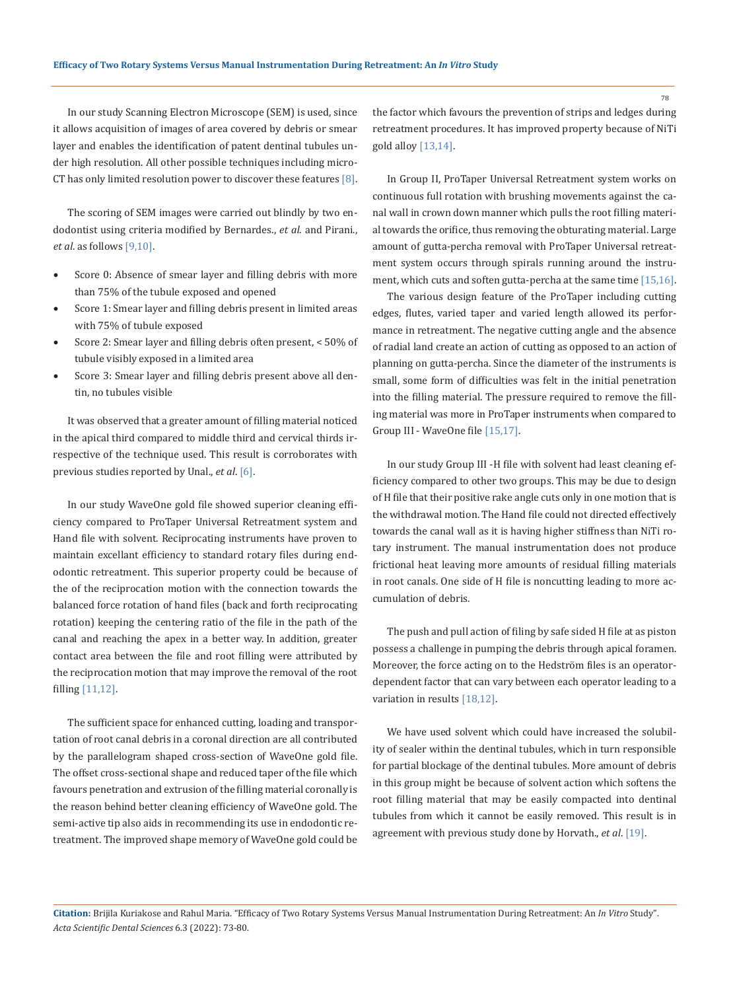In our study Scanning Electron Microscope (SEM) is used, since it allows acquisition of images of area covered by debris or smear layer and enables the identification of patent dentinal tubules under high resolution. All other possible techniques including micro-CT has only limited resolution power to discover these features  $[8]$ .

The scoring of SEM images were carried out blindly by two endodontist using criteria modified by Bernardes., *et al*. and Pirani., *et al*. as follows [9,10].

- Score 0: Absence of smear layer and filling debris with more than 75% of the tubule exposed and opened
- Score 1: Smear layer and filling debris present in limited areas with 75% of tubule exposed
- Score 2: Smear layer and filling debris often present, < 50% of tubule visibly exposed in a limited area
- Score 3: Smear layer and filling debris present above all dentin, no tubules visible

It was observed that a greater amount of filling material noticed in the apical third compared to middle third and cervical thirds irrespective of the technique used. This result is corroborates with previous studies reported by Unal., *et al*. [6].

In our study WaveOne gold file showed superior cleaning efficiency compared to ProTaper Universal Retreatment system and Hand file with solvent. Reciprocating instruments have proven to maintain excellant efficiency to standard rotary files during endodontic retreatment. This superior property could be because of the of the reciprocation motion with the connection towards the balanced force rotation of hand files (back and forth reciprocating rotation) keeping the centering ratio of the file in the path of the canal and reaching the apex in a better way. In addition, greater contact area between the file and root filling were attributed by the reciprocation motion that may improve the removal of the root filling [11,12].

The sufficient space for enhanced cutting, loading and transportation of root canal debris in a coronal direction are all contributed by the parallelogram shaped cross-section of WaveOne gold file. The offset cross-sectional shape and reduced taper of the file which favours penetration and extrusion of the filling material coronally is the reason behind better cleaning efficiency of WaveOne gold. The semi-active tip also aids in recommending its use in endodontic retreatment. The improved shape memory of WaveOne gold could be

the factor which favours the prevention of strips and ledges during retreatment procedures. It has improved property because of NiTi gold alloy [13,14].

In Group II, ProTaper Universal Retreatment system works on continuous full rotation with brushing movements against the canal wall in crown down manner which pulls the root filling material towards the orifice, thus removing the obturating material. Large amount of gutta-percha removal with ProTaper Universal retreatment system occurs through spirals running around the instrument, which cuts and soften gutta-percha at the same time [15,16].

The various design feature of the ProTaper including cutting edges, flutes, varied taper and varied length allowed its performance in retreatment. The negative cutting angle and the absence of radial land create an action of cutting as opposed to an action of planning on gutta-percha. Since the diameter of the instruments is small, some form of difficulties was felt in the initial penetration into the filling material. The pressure required to remove the filling material was more in ProTaper instruments when compared to Group III - WaveOne file [15,17].

In our study Group III -H file with solvent had least cleaning efficiency compared to other two groups. This may be due to design of H file that their positive rake angle cuts only in one motion that is the withdrawal motion. The Hand file could not directed effectively towards the canal wall as it is having higher stiffness than NiTi rotary instrument. The manual instrumentation does not produce frictional heat leaving more amounts of residual filling materials in root canals. One side of H file is noncutting leading to more accumulation of debris.

The push and pull action of filing by safe sided H file at as piston possess a challenge in pumping the debris through apical foramen. Moreover, the force acting on to the Hedström files is an operatordependent factor that can vary between each operator leading to a variation in results [18,12].

We have used solvent which could have increased the solubility of sealer within the dentinal tubules, which in turn responsible for partial blockage of the dentinal tubules. More amount of debris in this group might be because of solvent action which softens the root filling material that may be easily compacted into dentinal tubules from which it cannot be easily removed. This result is in agreement with previous study done by Horvath., *et al*. [19].

**Citation:** Brijila Kuriakose and Rahul Maria*.* "Efficacy of Two Rotary Systems Versus Manual Instrumentation During Retreatment: An *In Vitro* Study". *Acta Scientific Dental Sciences* 6.3 (2022): 73-80.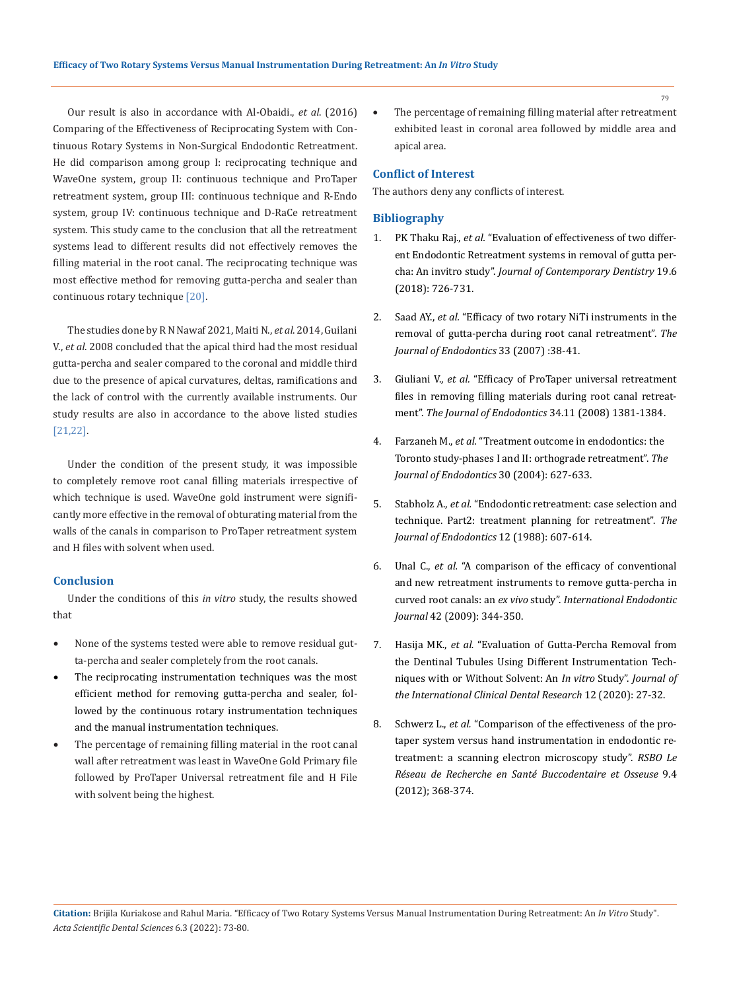Our result is also in accordance with Al-Obaidi., *et al*. (2016) Comparing of the Effectiveness of Reciprocating System with Continuous Rotary Systems in Non-Surgical Endodontic Retreatment. He did comparison among group I: reciprocating technique and WaveOne system, group II: continuous technique and ProTaper retreatment system, group III: continuous technique and R-Endo system, group IV: continuous technique and D-RaCe retreatment system. This study came to the conclusion that all the retreatment systems lead to different results did not effectively removes the filling material in the root canal. The reciprocating technique was most effective method for removing gutta-percha and sealer than continuous rotary technique [20].

The studies done by R N Nawaf 2021, Maiti N., *et al*. 2014, Guilani V., *et al*. 2008 concluded that the apical third had the most residual gutta-percha and sealer compared to the coronal and middle third due to the presence of apical curvatures, deltas, ramifications and the lack of control with the currently available instruments. Our study results are also in accordance to the above listed studies [21,22].

Under the condition of the present study, it was impossible to completely remove root canal filling materials irrespective of which technique is used. WaveOne gold instrument were significantly more effective in the removal of obturating material from the walls of the canals in comparison to ProTaper retreatment system and H files with solvent when used.

## **Conclusion**

Under the conditions of this *in vitro* study, the results showed that

- None of the systems tested were able to remove residual gutta-percha and sealer completely from the root canals.
- The reciprocating instrumentation techniques was the most efficient method for removing gutta-percha and sealer, followed by the continuous rotary instrumentation techniques and the manual instrumentation techniques.
- The percentage of remaining filling material in the root canal wall after retreatment was least in WaveOne Gold Primary file followed by ProTaper Universal retreatment file and H File with solvent being the highest.

The percentage of remaining filling material after retreatment exhibited least in coronal area followed by middle area and apical area.

#### **Conflict of Interest**

The authors deny any conflicts of interest.

## **Bibliography**

- 1. PK Thaku Raj., *et al.* ["Evaluation of effectiveness of two differ](https://pubmed.ncbi.nlm.nih.gov/29959303/)[ent Endodontic Retreatment systems in removal of gutta per](https://pubmed.ncbi.nlm.nih.gov/29959303/)cha: An invitro study". *[Journal of Contemporary Dentistry](https://pubmed.ncbi.nlm.nih.gov/29959303/)* 19.6 [\(2018\): 726-731.](https://pubmed.ncbi.nlm.nih.gov/29959303/)
- 2. Saad AY., *et al.* ["Efficacy of two rotary NiTi instruments in the](https://pubmed.ncbi.nlm.nih.gov/17185127/) [removal of gutta-percha during root canal retreatment".](https://pubmed.ncbi.nlm.nih.gov/17185127/) *The [Journal of Endodontics](https://pubmed.ncbi.nlm.nih.gov/17185127/)* 33 (2007) :38-41.
- 3. Giuliani V., *et al.* ["Efficacy of ProTaper universal retreatment](https://pubmed.ncbi.nlm.nih.gov/18928852/)  [files in removing filling materials during root canal retreat](https://pubmed.ncbi.nlm.nih.gov/18928852/)ment". *[The Journal of Endodontics](https://pubmed.ncbi.nlm.nih.gov/18928852/)* 34.11 (2008) 1381-1384.
- 4. Farzaneh M., *et al.* ["Treatment outcome in endodontics: the](https://pubmed.ncbi.nlm.nih.gov/15329565/)  [Toronto study-phases I and II: orthograde retreatment".](https://pubmed.ncbi.nlm.nih.gov/15329565/) *The [Journal of Endodontics](https://pubmed.ncbi.nlm.nih.gov/15329565/)* 30 (2004): 627-633.
- 5. Stabholz A., *et al.* ["Endodontic retreatment: case selection and](https://pubmed.ncbi.nlm.nih.gov/3270681/)  [technique. Part2: treatment planning for retreatment".](https://pubmed.ncbi.nlm.nih.gov/3270681/) *The [Journal of Endodontics](https://pubmed.ncbi.nlm.nih.gov/3270681/)* 12 (1988): 607-614.
- 6. Unal C., *et al.* ["A comparison of the efficacy of conventional](https://pubmed.ncbi.nlm.nih.gov/19220515/)  [and new retreatment instruments to remove gutta-percha in](https://pubmed.ncbi.nlm.nih.gov/19220515/)  curved root canals: an *ex vivo* study". *[International Endodontic](https://pubmed.ncbi.nlm.nih.gov/19220515/)  Journal* [42 \(2009\): 344-350.](https://pubmed.ncbi.nlm.nih.gov/19220515/)
- 7. Hasija MK., *et al.* ["Evaluation of Gutta-Percha Removal from](https://www.jicdro.org/article.asp?issn=2231-0754;year=2020;volume=12;issue=1;spage=27;epage=32;aulast=Hasija) [the Dentinal Tubules Using Different Instrumentation Tech](https://www.jicdro.org/article.asp?issn=2231-0754;year=2020;volume=12;issue=1;spage=27;epage=32;aulast=Hasija)[niques with or Without Solvent: An](https://www.jicdro.org/article.asp?issn=2231-0754;year=2020;volume=12;issue=1;spage=27;epage=32;aulast=Hasija) *In vitro* Study". *Journal of [the International Clinical Dental Research](https://www.jicdro.org/article.asp?issn=2231-0754;year=2020;volume=12;issue=1;spage=27;epage=32;aulast=Hasija)* 12 (2020): 27-32.
- 8. Schwerz L., *et al.* ["Comparison of the effectiveness of the pro](https://www.semanticscholar.org/paper/Comparison-of-the-effectiveness-of-the-protaper-in-Schwerz-Fontana/27cc184658d5ea2c16342b799c7feee86e93bd55)[taper system versus hand instrumentation in endodontic re](https://www.semanticscholar.org/paper/Comparison-of-the-effectiveness-of-the-protaper-in-Schwerz-Fontana/27cc184658d5ea2c16342b799c7feee86e93bd55)[treatment: a scanning electron microscopy study".](https://www.semanticscholar.org/paper/Comparison-of-the-effectiveness-of-the-protaper-in-Schwerz-Fontana/27cc184658d5ea2c16342b799c7feee86e93bd55) *RSBO Le Réseau de Recherche en [Santé Buccodentaire et Osseuse](https://www.semanticscholar.org/paper/Comparison-of-the-effectiveness-of-the-protaper-in-Schwerz-Fontana/27cc184658d5ea2c16342b799c7feee86e93bd55)* 9.4 [\(2012\); 368-374.](https://www.semanticscholar.org/paper/Comparison-of-the-effectiveness-of-the-protaper-in-Schwerz-Fontana/27cc184658d5ea2c16342b799c7feee86e93bd55)

**Citation:** Brijila Kuriakose and Rahul Maria*.* "Efficacy of Two Rotary Systems Versus Manual Instrumentation During Retreatment: An *In Vitro* Study". *Acta Scientific Dental Sciences* 6.3 (2022): 73-80.